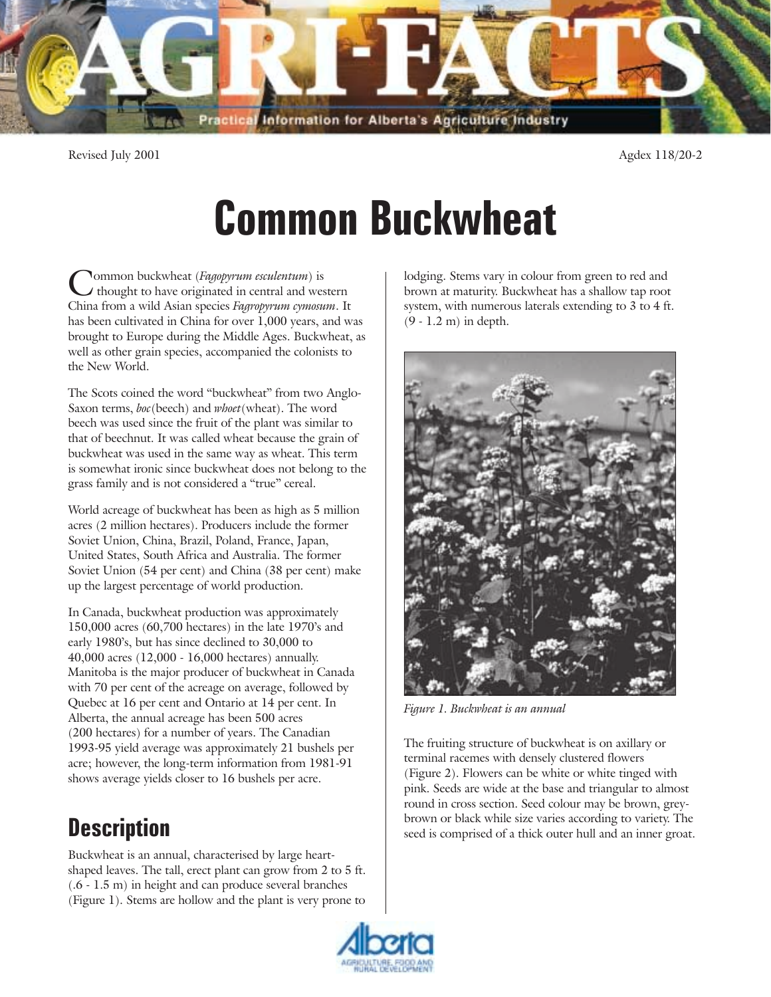

Revised July 2001 2001 2001 2002 2003 2004 2004 2005 2006 2007 2008 2009 2009 2007 2008 2009 2009 2009 2009 200

# Common Buckwheat

Common buckwheat (*Fagopyrum esculentum*) is If thought to have originated in central and western China from a wild Asian species *Fagropyrum cymosum*. It has been cultivated in China for over 1,000 years, and was brought to Europe during the Middle Ages. Buckwheat, as well as other grain species, accompanied the colonists to the New World.

The Scots coined the word "buckwheat" from two Anglo-Saxon terms, *boc*(beech) and *whoet*(wheat). The word beech was used since the fruit of the plant was similar to that of beechnut. It was called wheat because the grain of buckwheat was used in the same way as wheat. This term is somewhat ironic since buckwheat does not belong to the grass family and is not considered a "true" cereal.

World acreage of buckwheat has been as high as 5 million acres (2 million hectares). Producers include the former Soviet Union, China, Brazil, Poland, France, Japan, United States, South Africa and Australia. The former Soviet Union (54 per cent) and China (38 per cent) make up the largest percentage of world production.

In Canada, buckwheat production was approximately  $150,000$  acres  $(60,700$  hectares) in the late  $1970$ 's and early 1980's, but has since declined to 30,000 to 40,000 acres (12,000 - 16,000 hectares) annually. Manitoba is the major producer of buckwheat in Canada with 70 per cent of the acreage on average, followed by Quebec at 16 per cent and Ontario at 14 per cent. In Alberta, the annual acreage has been 500 acres (200 hectares) for a number of years. The Canadian 1993-95 yield average was approximately 21 bushels per acre; however, the long-term information from 1981-91 shows average yields closer to 16 bushels per acre.

# **Description**

Buckwheat is an annual, characterised by large heartshaped leaves. The tall, erect plant can grow from 2 to 5 ft. (.6 - 1.5 m) in height and can produce several branches (Figure 1). Stems are hollow and the plant is very prone to

lodging. Stems vary in colour from green to red and brown at maturity. Buckwheat has a shallow tap root system, with numerous laterals extending to 3 to 4 ft. (9 - 1.2 m) in depth.



*Figure 1. Buckwheat is an annual*

The fruiting structure of buckwheat is on axillary or terminal racemes with densely clustered flowers (Figure 2). Flowers can be white or white tinged with pink. Seeds are wide at the base and triangular to almost round in cross section. Seed colour may be brown, greybrown or black while size varies according to variety. The seed is comprised of a thick outer hull and an inner groat.

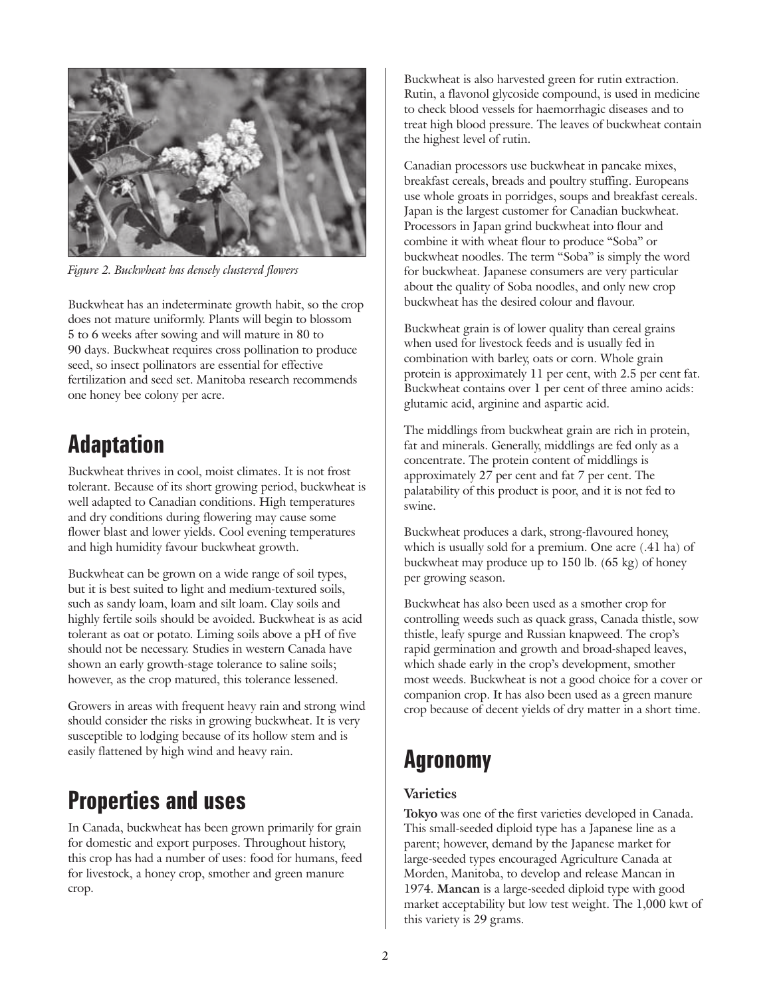

*Figure 2. Buckwheat has densely clustered flowers*

Buckwheat has an indeterminate growth habit, so the crop does not mature uniformly. Plants will begin to blossom 5 to 6 weeks after sowing and will mature in 80 to 90 days. Buckwheat requires cross pollination to produce seed, so insect pollinators are essential for effective fertilization and seed set. Manitoba research recommends one honey bee colony per acre.

# Adaptation

Buckwheat thrives in cool, moist climates. It is not frost tolerant. Because of its short growing period, buckwheat is well adapted to Canadian conditions. High temperatures and dry conditions during flowering may cause some flower blast and lower yields. Cool evening temperatures and high humidity favour buckwheat growth.

Buckwheat can be grown on a wide range of soil types, but it is best suited to light and medium-textured soils, such as sandy loam, loam and silt loam. Clay soils and highly fertile soils should be avoided. Buckwheat is as acid tolerant as oat or potato. Liming soils above a pH of five should not be necessary. Studies in western Canada have shown an early growth-stage tolerance to saline soils; however, as the crop matured, this tolerance lessened.

Growers in areas with frequent heavy rain and strong wind should consider the risks in growing buckwheat. It is very susceptible to lodging because of its hollow stem and is easily flattened by high wind and heavy rain.

# Properties and uses

In Canada, buckwheat has been grown primarily for grain for domestic and export purposes. Throughout history, this crop has had a number of uses: food for humans, feed for livestock, a honey crop, smother and green manure crop.

Buckwheat is also harvested green for rutin extraction. Rutin, a flavonol glycoside compound, is used in medicine to check blood vessels for haemorrhagic diseases and to treat high blood pressure. The leaves of buckwheat contain the highest level of rutin.

Canadian processors use buckwheat in pancake mixes, breakfast cereals, breads and poultry stuffing. Europeans use whole groats in porridges, soups and breakfast cereals. Japan is the largest customer for Canadian buckwheat. Processors in Japan grind buckwheat into flour and combine it with wheat flour to produce "Soba" or buckwheat noodles. The term "Soba" is simply the word for buckwheat. Japanese consumers are very particular about the quality of Soba noodles, and only new crop buckwheat has the desired colour and flavour.

Buckwheat grain is of lower quality than cereal grains when used for livestock feeds and is usually fed in combination with barley, oats or corn. Whole grain protein is approximately 11 per cent, with 2.5 per cent fat. Buckwheat contains over 1 per cent of three amino acids: glutamic acid, arginine and aspartic acid.

The middlings from buckwheat grain are rich in protein, fat and minerals. Generally, middlings are fed only as a concentrate. The protein content of middlings is approximately 27 per cent and fat 7 per cent. The palatability of this product is poor, and it is not fed to swine.

Buckwheat produces a dark, strong-flavoured honey, which is usually sold for a premium. One acre (.41 ha) of buckwheat may produce up to 150 lb. (65 kg) of honey per growing season.

Buckwheat has also been used as a smother crop for controlling weeds such as quack grass, Canada thistle, sow thistle, leafy spurge and Russian knapweed. The crop's rapid germination and growth and broad-shaped leaves, which shade early in the crop's development, smother most weeds. Buckwheat is not a good choice for a cover or companion crop. It has also been used as a green manure crop because of decent yields of dry matter in a short time.

# Agronomy

#### **Varieties**

**Tokyo** was one of the first varieties developed in Canada. This small-seeded diploid type has a Japanese line as a parent; however, demand by the Japanese market for large-seeded types encouraged Agriculture Canada at Morden, Manitoba, to develop and release Mancan in 1974. **Mancan** is a large-seeded diploid type with good market acceptability but low test weight. The 1,000 kwt of this variety is 29 grams.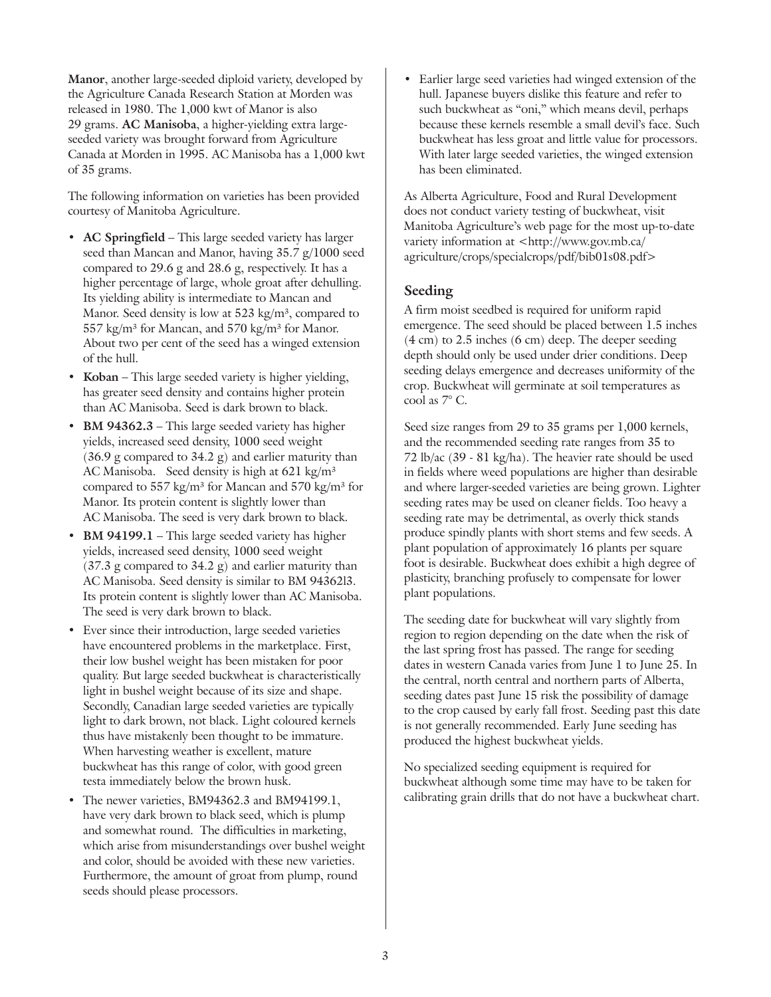**Manor**, another large-seeded diploid variety, developed by the Agriculture Canada Research Station at Morden was released in 1980. The 1,000 kwt of Manor is also 29 grams. **AC Manisoba**, a higher-yielding extra largeseeded variety was brought forward from Agriculture Canada at Morden in 1995. AC Manisoba has a 1,000 kwt of 35 grams.

The following information on varieties has been provided courtesy of Manitoba Agriculture.

- **AC Springfield** This large seeded variety has larger seed than Mancan and Manor, having 35.7 g/1000 seed compared to 29.6 g and 28.6 g, respectively. It has a higher percentage of large, whole groat after dehulling. Its yielding ability is intermediate to Mancan and Manor. Seed density is low at  $523$  kg/m<sup>3</sup>, compared to  $557 \text{ kg/m}^3$  for Mancan, and  $570 \text{ kg/m}^3$  for Manor. About two per cent of the seed has a winged extension of the hull.
- **Koban** This large seeded variety is higher yielding, has greater seed density and contains higher protein than AC Manisoba. Seed is dark brown to black.
- **BM 94362.3** This large seeded variety has higher yields, increased seed density, 1000 seed weight  $(36.9 \text{ g}$  compared to  $34.2 \text{ g}$ ) and earlier maturity than AC Manisoba. Seed density is high at 621 kg/m<sup>3</sup> compared to 557 kg/m<sup>3</sup> for Mancan and 570 kg/m<sup>3</sup> for Manor. Its protein content is slightly lower than AC Manisoba. The seed is very dark brown to black.
- **BM 94199.1** This large seeded variety has higher yields, increased seed density, 1000 seed weight  $(37.3 \text{ g}$  compared to  $34.2 \text{ g}$ ) and earlier maturity than AC Manisoba. Seed density is similar to BM 94362l3. Its protein content is slightly lower than AC Manisoba. The seed is very dark brown to black.
- Ever since their introduction, large seeded varieties have encountered problems in the marketplace. First, their low bushel weight has been mistaken for poor quality. But large seeded buckwheat is characteristically light in bushel weight because of its size and shape. Secondly, Canadian large seeded varieties are typically light to dark brown, not black. Light coloured kernels thus have mistakenly been thought to be immature. When harvesting weather is excellent, mature buckwheat has this range of color, with good green testa immediately below the brown husk.
- The newer varieties, BM94362.3 and BM94199.1, have very dark brown to black seed, which is plump and somewhat round. The difficulties in marketing, which arise from misunderstandings over bushel weight and color, should be avoided with these new varieties. Furthermore, the amount of groat from plump, round seeds should please processors.

Earlier large seed varieties had winged extension of the hull. Japanese buyers dislike this feature and refer to such buckwheat as "oni," which means devil, perhaps because these kernels resemble a small devil's face. Such buckwheat has less groat and little value for processors. With later large seeded varieties, the winged extension has been eliminated.

As Alberta Agriculture, Food and Rural Development does not conduct variety testing of buckwheat, visit Manitoba Agriculture's web page for the most up-to-date variety information at <http://www.gov.mb.ca/ agriculture/crops/specialcrops/pdf/bib01s08.pdf>

#### **Seeding**

A firm moist seedbed is required for uniform rapid emergence. The seed should be placed between 1.5 inches (4 cm) to 2.5 inches (6 cm) deep. The deeper seeding depth should only be used under drier conditions. Deep seeding delays emergence and decreases uniformity of the crop. Buckwheat will germinate at soil temperatures as cool as 7° C.

Seed size ranges from 29 to 35 grams per 1,000 kernels, and the recommended seeding rate ranges from 35 to 72 lb/ac (39 - 81 kg/ha). The heavier rate should be used in fields where weed populations are higher than desirable and where larger-seeded varieties are being grown. Lighter seeding rates may be used on cleaner fields. Too heavy a seeding rate may be detrimental, as overly thick stands produce spindly plants with short stems and few seeds. A plant population of approximately 16 plants per square foot is desirable. Buckwheat does exhibit a high degree of plasticity, branching profusely to compensate for lower plant populations.

The seeding date for buckwheat will vary slightly from region to region depending on the date when the risk of the last spring frost has passed. The range for seeding dates in western Canada varies from June 1 to June 25. In the central, north central and northern parts of Alberta, seeding dates past June 15 risk the possibility of damage to the crop caused by early fall frost. Seeding past this date is not generally recommended. Early June seeding has produced the highest buckwheat yields.

No specialized seeding equipment is required for buckwheat although some time may have to be taken for calibrating grain drills that do not have a buckwheat chart.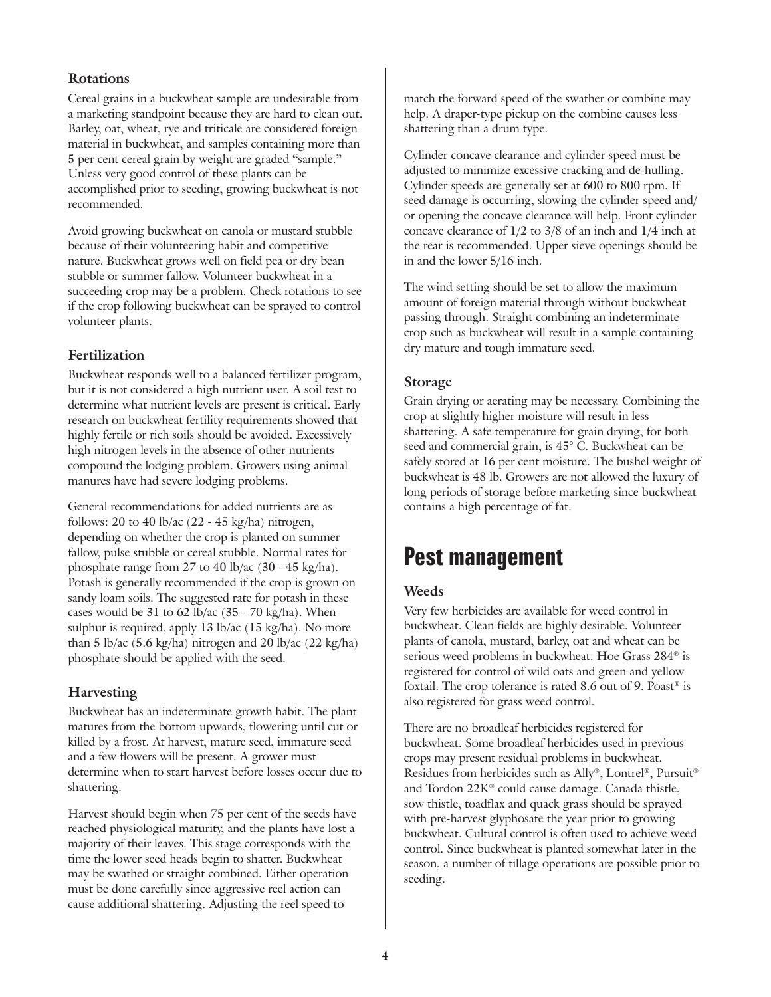#### **Rotations**

Cereal grains in a buckwheat sample are undesirable from a marketing standpoint because they are hard to clean out. Barley, oat, wheat, rye and triticale are considered foreign material in buckwheat, and samples containing more than 5 per cent cereal grain by weight are graded "sample." Unless very good control of these plants can be accomplished prior to seeding, growing buckwheat is not recommended.

Avoid growing buckwheat on canola or mustard stubble because of their volunteering habit and competitive nature. Buckwheat grows well on field pea or dry bean stubble or summer fallow. Volunteer buckwheat in a succeeding crop may be a problem. Check rotations to see if the crop following buckwheat can be sprayed to control volunteer plants.

#### **Fertilization**

Buckwheat responds well to a balanced fertilizer program, but it is not considered a high nutrient user. A soil test to determine what nutrient levels are present is critical. Early research on buckwheat fertility requirements showed that highly fertile or rich soils should be avoided. Excessively high nitrogen levels in the absence of other nutrients compound the lodging problem. Growers using animal manures have had severe lodging problems.

General recommendations for added nutrients are as follows: 20 to 40 lb/ac  $(22 - 45 \text{ kg/ha})$  nitrogen, depending on whether the crop is planted on summer fallow, pulse stubble or cereal stubble. Normal rates for phosphate range from 27 to 40 lb/ac (30 - 45 kg/ha). Potash is generally recommended if the crop is grown on sandy loam soils. The suggested rate for potash in these cases would be 31 to 62 lb/ac (35 - 70 kg/ha). When sulphur is required, apply 13 lb/ac (15 kg/ha). No more than 5 lb/ac (5.6 kg/ha) nitrogen and 20 lb/ac (22 kg/ha) phosphate should be applied with the seed.

### **Harvesting**

Buckwheat has an indeterminate growth habit. The plant matures from the bottom upwards, flowering until cut or killed by a frost. At harvest, mature seed, immature seed and a few flowers will be present. A grower must determine when to start harvest before losses occur due to shattering.

Harvest should begin when 75 per cent of the seeds have reached physiological maturity, and the plants have lost a majority of their leaves. This stage corresponds with the time the lower seed heads begin to shatter. Buckwheat may be swathed or straight combined. Either operation must be done carefully since aggressive reel action can cause additional shattering. Adjusting the reel speed to

match the forward speed of the swather or combine may help. A draper-type pickup on the combine causes less shattering than a drum type.

Cylinder concave clearance and cylinder speed must be adjusted to minimize excessive cracking and de-hulling. Cylinder speeds are generally set at 600 to 800 rpm. If seed damage is occurring, slowing the cylinder speed and/ or opening the concave clearance will help. Front cylinder concave clearance of 1/2 to 3/8 of an inch and 1/4 inch at the rear is recommended. Upper sieve openings should be in and the lower 5/16 inch.

The wind setting should be set to allow the maximum amount of foreign material through without buckwheat passing through. Straight combining an indeterminate crop such as buckwheat will result in a sample containing dry mature and tough immature seed.

### **Storage**

Grain drying or aerating may be necessary. Combining the crop at slightly higher moisture will result in less shattering. A safe temperature for grain drying, for both seed and commercial grain, is 45° C. Buckwheat can be safely stored at 16 per cent moisture. The bushel weight of buckwheat is 48 lb. Growers are not allowed the luxury of long periods of storage before marketing since buckwheat contains a high percentage of fat.

# Pest management

### **Weeds**

Very few herbicides are available for weed control in buckwheat. Clean fields are highly desirable. Volunteer plants of canola, mustard, barley, oat and wheat can be serious weed problems in buckwheat. Hoe Grass 284® is registered for control of wild oats and green and yellow foxtail. The crop tolerance is rated 8.6 out of 9. Poast® is also registered for grass weed control.

There are no broadleaf herbicides registered for buckwheat. Some broadleaf herbicides used in previous crops may present residual problems in buckwheat. Residues from herbicides such as Ally®, Lontrel®, Pursuit® and Tordon 22K® could cause damage. Canada thistle, sow thistle, toadflax and quack grass should be sprayed with pre-harvest glyphosate the year prior to growing buckwheat. Cultural control is often used to achieve weed control. Since buckwheat is planted somewhat later in the season, a number of tillage operations are possible prior to seeding.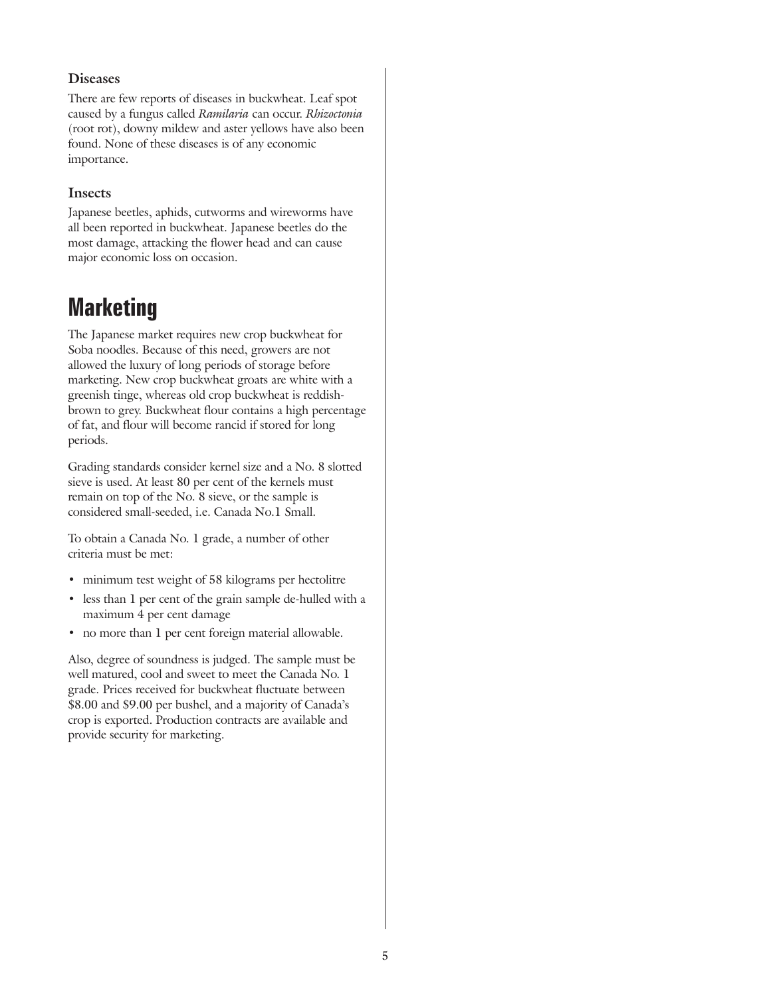#### **Diseases**

There are few reports of diseases in buckwheat. Leaf spot caused by a fungus called *Ramilaria* can occur. *Rhizoctonia* (root rot), downy mildew and aster yellows have also been found. None of these diseases is of any economic importance.

#### **Insects**

Japanese beetles, aphids, cutworms and wireworms have all been reported in buckwheat. Japanese beetles do the most damage, attacking the flower head and can cause major economic loss on occasion.

# **Marketing**

The Japanese market requires new crop buckwheat for Soba noodles. Because of this need, growers are not allowed the luxury of long periods of storage before marketing. New crop buckwheat groats are white with a greenish tinge, whereas old crop buckwheat is reddishbrown to grey. Buckwheat flour contains a high percentage of fat, and flour will become rancid if stored for long periods.

Grading standards consider kernel size and a No. 8 slotted sieve is used. At least 80 per cent of the kernels must remain on top of the No. 8 sieve, or the sample is considered small-seeded, i.e. Canada No.1 Small.

To obtain a Canada No. 1 grade, a number of other criteria must be met:

- minimum test weight of 58 kilograms per hectolitre
- less than 1 per cent of the grain sample de-hulled with a maximum 4 per cent damage
- no more than 1 per cent foreign material allowable.

Also, degree of soundness is judged. The sample must be well matured, cool and sweet to meet the Canada No. 1 grade. Prices received for buckwheat fluctuate between \$8.00 and \$9.00 per bushel, and a majority of Canada's crop is exported. Production contracts are available and provide security for marketing.